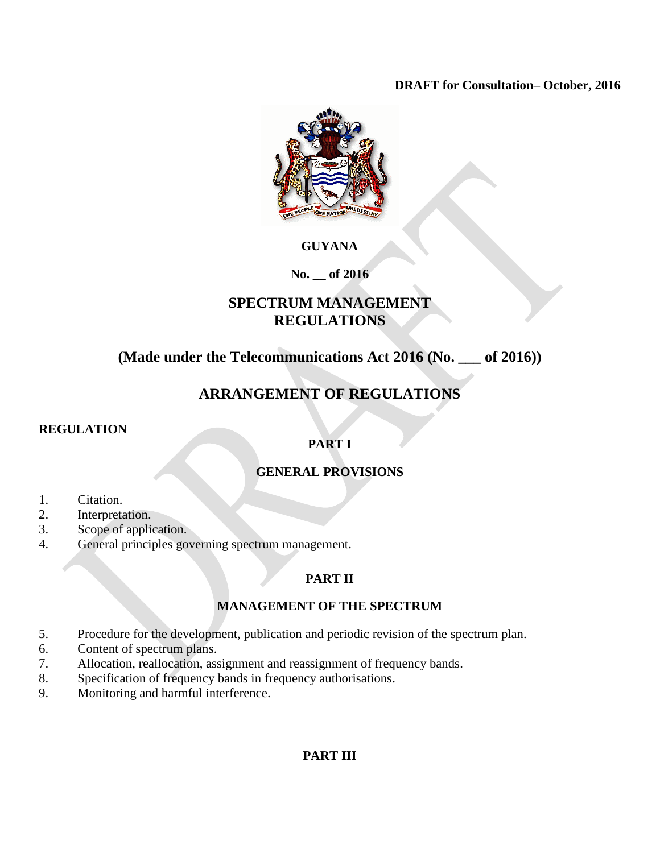### **DRAFT for Consultation– October, 2016**



## **GUYANA**

### **No. \_\_ of 2016**

# **SPECTRUM MANAGEMENT REGULATIONS**

# **(Made under the Telecommunications Act 2016 (No. \_\_\_ of 2016))**

# **ARRANGEMENT OF REGULATIONS**

### **REGULATION**

## **PART I**

## **GENERAL PROVISIONS**

- 1. Citation.
- 2. Interpretation.
- 3. Scope of application.
- 4. General principles governing spectrum management.

## **PART II**

### **MANAGEMENT OF THE SPECTRUM**

- 5. Procedure for the development, publication and periodic revision of the spectrum plan.
- 6. Content of spectrum plans.
- 7. Allocation, reallocation, assignment and reassignment of frequency bands.
- 8. Specification of frequency bands in frequency authorisations.
- 9. Monitoring and harmful interference.

## **PART III**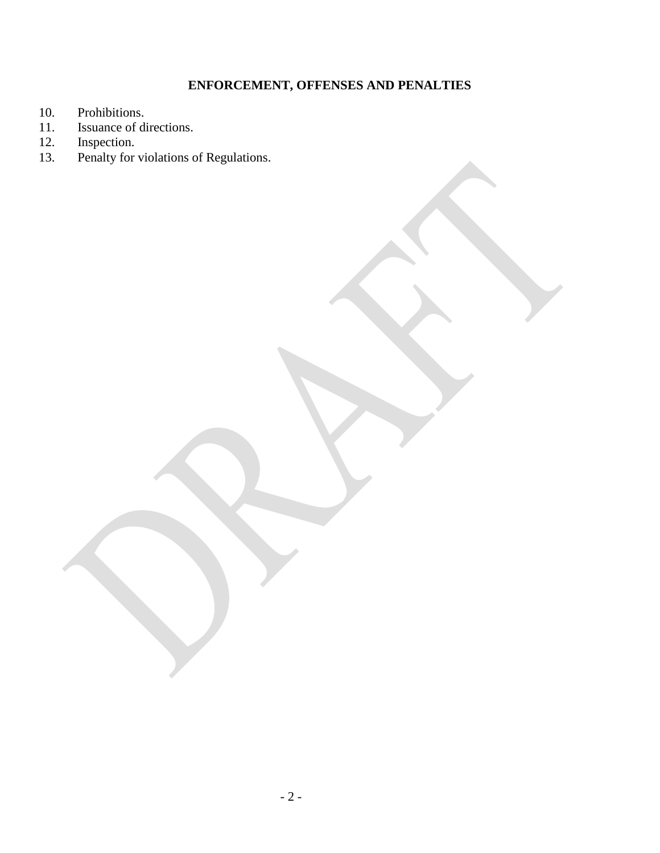# **ENFORCEMENT, OFFENSES AND PENALTIES**

- 10. Prohibitions.<br>11. Issuance of di
- 11. Issuance of directions.<br>12. Inspection.
- 12. Inspection.<br>13. Penalty for
- **13. Penalty for violations of Regulations.**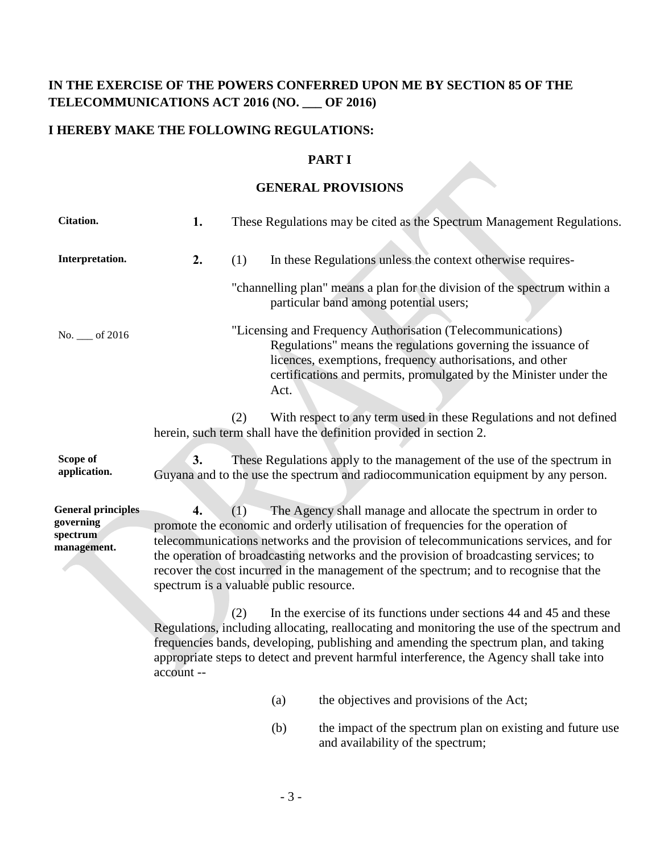# **IN THE EXERCISE OF THE POWERS CONFERRED UPON ME BY SECTION 85 OF THE TELECOMMUNICATIONS ACT 2016 (NO. \_\_\_ OF 2016)**

# **I HEREBY MAKE THE FOLLOWING REGULATIONS:**

### **PART I**

### **GENERAL PROVISIONS**

| <b>Citation.</b>                                                  | 1.                                                                                                                                                                                                                                                                                                                                                                         |     |      | These Regulations may be cited as the Spectrum Management Regulations.                                                                                                                                                                                                                                                                                                                                                        |  |  |  |
|-------------------------------------------------------------------|----------------------------------------------------------------------------------------------------------------------------------------------------------------------------------------------------------------------------------------------------------------------------------------------------------------------------------------------------------------------------|-----|------|-------------------------------------------------------------------------------------------------------------------------------------------------------------------------------------------------------------------------------------------------------------------------------------------------------------------------------------------------------------------------------------------------------------------------------|--|--|--|
| Interpretation.                                                   | 2.                                                                                                                                                                                                                                                                                                                                                                         | (1) |      | In these Regulations unless the context otherwise requires-                                                                                                                                                                                                                                                                                                                                                                   |  |  |  |
|                                                                   |                                                                                                                                                                                                                                                                                                                                                                            |     |      | "channelling plan" means a plan for the division of the spectrum within a<br>particular band among potential users;                                                                                                                                                                                                                                                                                                           |  |  |  |
| No. __ of 2016                                                    |                                                                                                                                                                                                                                                                                                                                                                            |     | Act. | "Licensing and Frequency Authorisation (Telecommunications)<br>Regulations" means the regulations governing the issuance of<br>licences, exemptions, frequency authorisations, and other<br>certifications and permits, promulgated by the Minister under the                                                                                                                                                                 |  |  |  |
|                                                                   |                                                                                                                                                                                                                                                                                                                                                                            | (2) |      | With respect to any term used in these Regulations and not defined<br>herein, such term shall have the definition provided in section 2.                                                                                                                                                                                                                                                                                      |  |  |  |
| Scope of<br>application.                                          | 3.                                                                                                                                                                                                                                                                                                                                                                         |     |      | These Regulations apply to the management of the use of the spectrum in<br>Guyana and to the use the spectrum and radiocommunication equipment by any person.                                                                                                                                                                                                                                                                 |  |  |  |
| <b>General principles</b><br>governing<br>spectrum<br>management. | $\overline{4}$ .<br>spectrum is a valuable public resource.                                                                                                                                                                                                                                                                                                                | (1) |      | The Agency shall manage and allocate the spectrum in order to<br>promote the economic and orderly utilisation of frequencies for the operation of<br>telecommunications networks and the provision of telecommunications services, and for<br>the operation of broadcasting networks and the provision of broadcasting services; to<br>recover the cost incurred in the management of the spectrum; and to recognise that the |  |  |  |
|                                                                   | (2)<br>In the exercise of its functions under sections 44 and 45 and these<br>Regulations, including allocating, reallocating and monitoring the use of the spectrum and<br>frequencies bands, developing, publishing and amending the spectrum plan, and taking<br>appropriate steps to detect and prevent harmful interference, the Agency shall take into<br>account -- |     |      |                                                                                                                                                                                                                                                                                                                                                                                                                               |  |  |  |
|                                                                   |                                                                                                                                                                                                                                                                                                                                                                            |     | (a)  | the objectives and provisions of the Act;                                                                                                                                                                                                                                                                                                                                                                                     |  |  |  |
|                                                                   |                                                                                                                                                                                                                                                                                                                                                                            |     | (b)  | the impact of the spectrum plan on existing and future use<br>and availability of the spectrum;                                                                                                                                                                                                                                                                                                                               |  |  |  |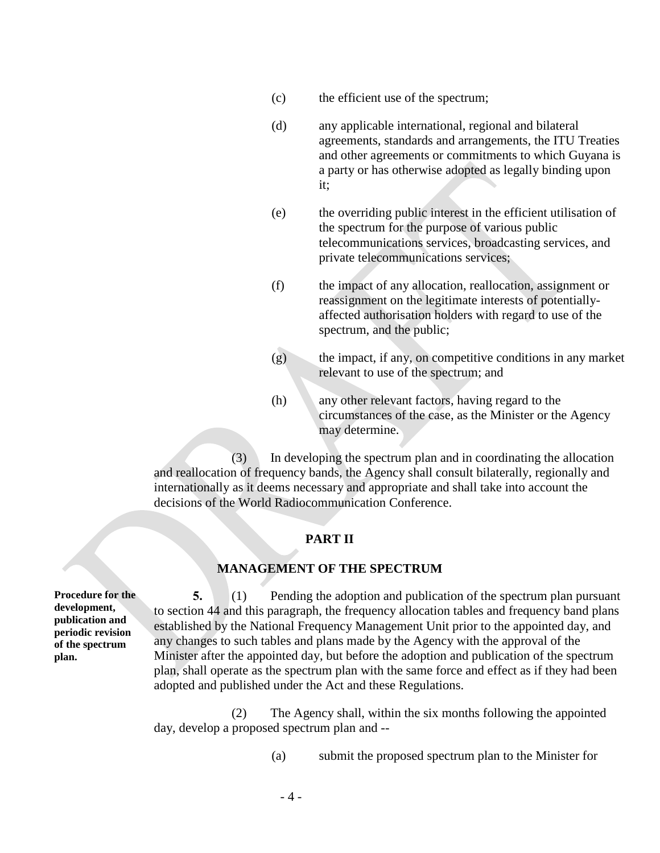- (c) the efficient use of the spectrum;
- (d) any applicable international, regional and bilateral agreements, standards and arrangements, the ITU Treaties and other agreements or commitments to which Guyana is a party or has otherwise adopted as legally binding upon it;
- (e) the overriding public interest in the efficient utilisation of the spectrum for the purpose of various public telecommunications services, broadcasting services, and private telecommunications services;
- (f) the impact of any allocation, reallocation, assignment or reassignment on the legitimate interests of potentiallyaffected authorisation holders with regard to use of the spectrum, and the public;
- (g) the impact, if any, on competitive conditions in any market relevant to use of the spectrum; and
- (h) any other relevant factors, having regard to the circumstances of the case, as the Minister or the Agency may determine.

(3) In developing the spectrum plan and in coordinating the allocation and reallocation of frequency bands, the Agency shall consult bilaterally, regionally and internationally as it deems necessary and appropriate and shall take into account the decisions of the World Radiocommunication Conference.

#### **PART II**

#### **MANAGEMENT OF THE SPECTRUM**

**Procedure for the development, publication and periodic revision of the spectrum plan.**

**5.** (1) Pending the adoption and publication of the spectrum plan pursuant to section 44 and this paragraph, the frequency allocation tables and frequency band plans established by the National Frequency Management Unit prior to the appointed day, and any changes to such tables and plans made by the Agency with the approval of the Minister after the appointed day, but before the adoption and publication of the spectrum plan, shall operate as the spectrum plan with the same force and effect as if they had been adopted and published under the Act and these Regulations.

(2) The Agency shall, within the six months following the appointed day, develop a proposed spectrum plan and --

(a) submit the proposed spectrum plan to the Minister for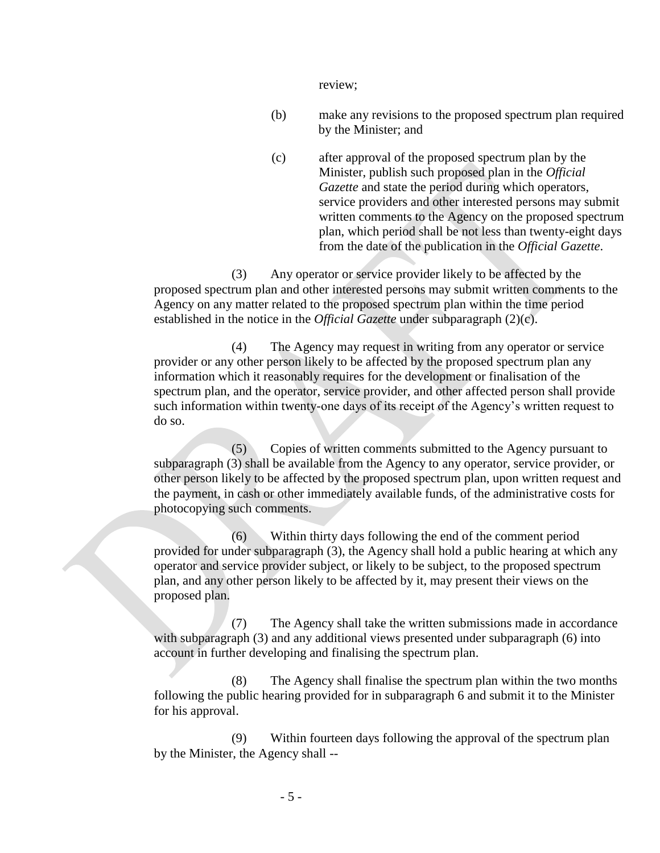review;

- (b) make any revisions to the proposed spectrum plan required by the Minister; and
- (c) after approval of the proposed spectrum plan by the Minister, publish such proposed plan in the *Official Gazette* and state the period during which operators, service providers and other interested persons may submit written comments to the Agency on the proposed spectrum plan, which period shall be not less than twenty-eight days from the date of the publication in the *Official Gazette*.

(3) Any operator or service provider likely to be affected by the proposed spectrum plan and other interested persons may submit written comments to the Agency on any matter related to the proposed spectrum plan within the time period established in the notice in the *Official Gazette* under subparagraph (2)(c).

(4) The Agency may request in writing from any operator or service provider or any other person likely to be affected by the proposed spectrum plan any information which it reasonably requires for the development or finalisation of the spectrum plan, and the operator, service provider, and other affected person shall provide such information within twenty-one days of its receipt of the Agency's written request to do so.

(5) Copies of written comments submitted to the Agency pursuant to subparagraph (3) shall be available from the Agency to any operator, service provider, or other person likely to be affected by the proposed spectrum plan, upon written request and the payment, in cash or other immediately available funds, of the administrative costs for photocopying such comments.

(6) Within thirty days following the end of the comment period provided for under subparagraph (3), the Agency shall hold a public hearing at which any operator and service provider subject, or likely to be subject, to the proposed spectrum plan, and any other person likely to be affected by it, may present their views on the proposed plan.

(7) The Agency shall take the written submissions made in accordance with subparagraph (3) and any additional views presented under subparagraph (6) into account in further developing and finalising the spectrum plan.

(8) The Agency shall finalise the spectrum plan within the two months following the public hearing provided for in subparagraph 6 and submit it to the Minister for his approval.

(9) Within fourteen days following the approval of the spectrum plan by the Minister, the Agency shall --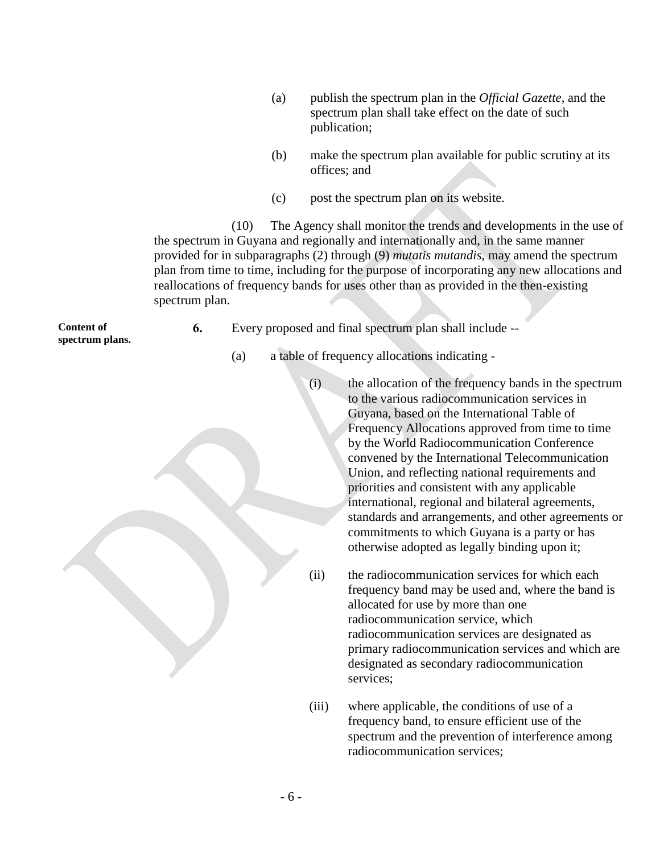- (a) publish the spectrum plan in the *Official Gazette*, and the spectrum plan shall take effect on the date of such publication;
- (b) make the spectrum plan available for public scrutiny at its offices; and
- (c) post the spectrum plan on its website.

(10) The Agency shall monitor the trends and developments in the use of the spectrum in Guyana and regionally and internationally and, in the same manner provided for in subparagraphs (2) through (9) *mutatis mutandis*, may amend the spectrum plan from time to time, including for the purpose of incorporating any new allocations and reallocations of frequency bands for uses other than as provided in the then-existing spectrum plan.

**Content of spectrum plans.**

- **6.** Every proposed and final spectrum plan shall include --
	- (a) a table of frequency allocations indicating
		- (i) the allocation of the frequency bands in the spectrum to the various radiocommunication services in Guyana, based on the International Table of Frequency Allocations approved from time to time by the World Radiocommunication Conference convened by the International Telecommunication Union, and reflecting national requirements and priorities and consistent with any applicable international, regional and bilateral agreements, standards and arrangements, and other agreements or commitments to which Guyana is a party or has otherwise adopted as legally binding upon it;
		- (ii) the radiocommunication services for which each frequency band may be used and, where the band is allocated for use by more than one radiocommunication service, which radiocommunication services are designated as primary radiocommunication services and which are designated as secondary radiocommunication services;
		- (iii) where applicable, the conditions of use of a frequency band, to ensure efficient use of the spectrum and the prevention of interference among radiocommunication services;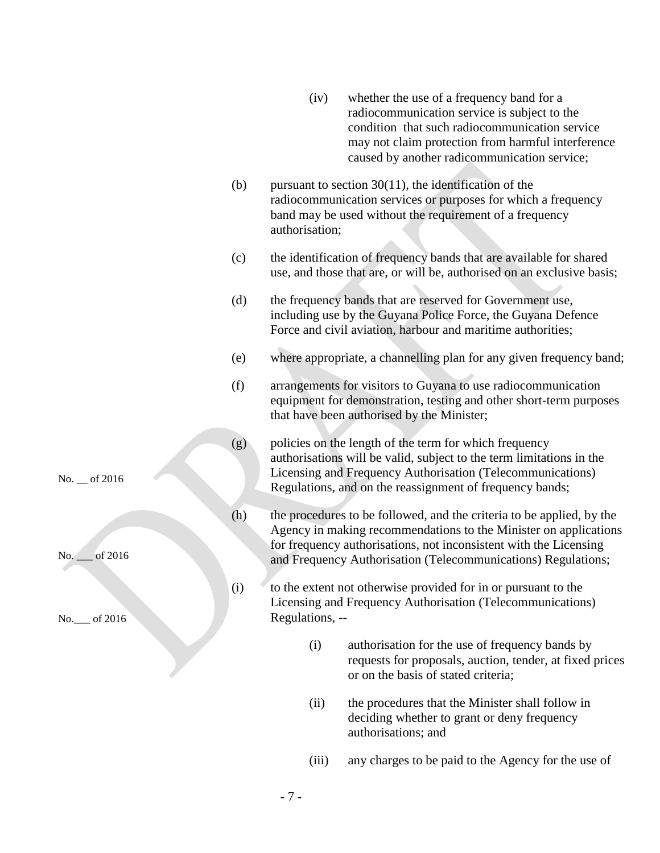|               |     | (iv)            | whether the use of a frequency band for a<br>radiocommunication service is subject to the<br>condition that such radiocommunication service<br>may not claim protection from harmful interference<br>caused by another radicommunication service;                               |
|---------------|-----|-----------------|---------------------------------------------------------------------------------------------------------------------------------------------------------------------------------------------------------------------------------------------------------------------------------|
|               | (b) | authorisation;  | pursuant to section $30(11)$ , the identification of the<br>radiocommunication services or purposes for which a frequency<br>band may be used without the requirement of a frequency                                                                                            |
|               | (c) |                 | the identification of frequency bands that are available for shared<br>use, and those that are, or will be, authorised on an exclusive basis;                                                                                                                                   |
|               | (d) |                 | the frequency bands that are reserved for Government use,<br>including use by the Guyana Police Force, the Guyana Defence<br>Force and civil aviation, harbour and maritime authorities;                                                                                        |
|               | (e) |                 | where appropriate, a channelling plan for any given frequency band;                                                                                                                                                                                                             |
|               | (f) |                 | arrangements for visitors to Guyana to use radiocommunication<br>equipment for demonstration, testing and other short-term purposes<br>that have been authorised by the Minister;                                                                                               |
| No. _ of 2016 | (g) |                 | policies on the length of the term for which frequency<br>authorisations will be valid, subject to the term limitations in the<br>Licensing and Frequency Authorisation (Telecommunications)<br>Regulations, and on the reassignment of frequency bands;                        |
| No. 6 2016    | (h) |                 | the procedures to be followed, and the criteria to be applied, by the<br>Agency in making recommendations to the Minister on applications<br>for frequency authorisations, not inconsistent with the Licensing<br>and Frequency Authorisation (Telecommunications) Regulations; |
| No. 6 2016    | (i) | Regulations, -- | to the extent not otherwise provided for in or pursuant to the<br>Licensing and Frequency Authorisation (Telecommunications)                                                                                                                                                    |
|               |     | (i)             | authorisation for the use of frequency bands by<br>requests for proposals, auction, tender, at fixed prices<br>or on the basis of stated criteria;                                                                                                                              |

- (ii) the procedures that the Minister shall follow in deciding whether to grant or deny frequency authorisations; and
- (iii) any charges to be paid to the Agency for the use of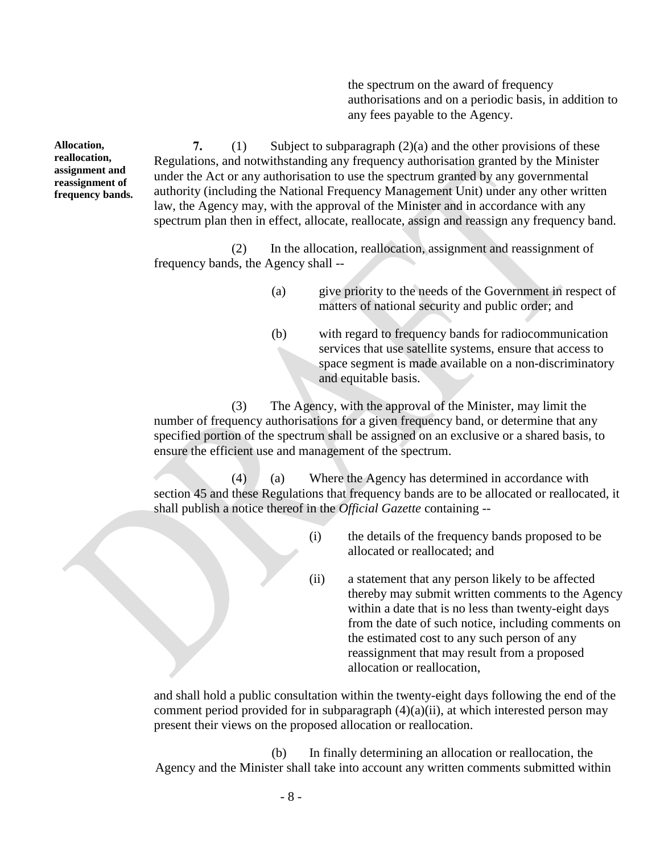the spectrum on the award of frequency authorisations and on a periodic basis, in addition to any fees payable to the Agency.

**7.** (1) Subject to subparagraph (2)(a) and the other provisions of these Regulations, and notwithstanding any frequency authorisation granted by the Minister under the Act or any authorisation to use the spectrum granted by any governmental authority (including the National Frequency Management Unit) under any other written law, the Agency may, with the approval of the Minister and in accordance with any spectrum plan then in effect, allocate, reallocate, assign and reassign any frequency band.

(2) In the allocation, reallocation, assignment and reassignment of frequency bands, the Agency shall --

- (a) give priority to the needs of the Government in respect of matters of national security and public order; and
- (b) with regard to frequency bands for radiocommunication services that use satellite systems, ensure that access to space segment is made available on a non-discriminatory and equitable basis.

(3) The Agency, with the approval of the Minister, may limit the number of frequency authorisations for a given frequency band, or determine that any specified portion of the spectrum shall be assigned on an exclusive or a shared basis, to ensure the efficient use and management of the spectrum.

(4) (a) Where the Agency has determined in accordance with section 45 and these Regulations that frequency bands are to be allocated or reallocated, it shall publish a notice thereof in the *Official Gazette* containing --

- (i) the details of the frequency bands proposed to be allocated or reallocated; and
- (ii) a statement that any person likely to be affected thereby may submit written comments to the Agency within a date that is no less than twenty-eight days from the date of such notice, including comments on the estimated cost to any such person of any reassignment that may result from a proposed allocation or reallocation,

and shall hold a public consultation within the twenty-eight days following the end of the comment period provided for in subparagraph (4)(a)(ii), at which interested person may present their views on the proposed allocation or reallocation.

(b) In finally determining an allocation or reallocation, the Agency and the Minister shall take into account any written comments submitted within

**Allocation, reallocation, assignment and reassignment of frequency bands.**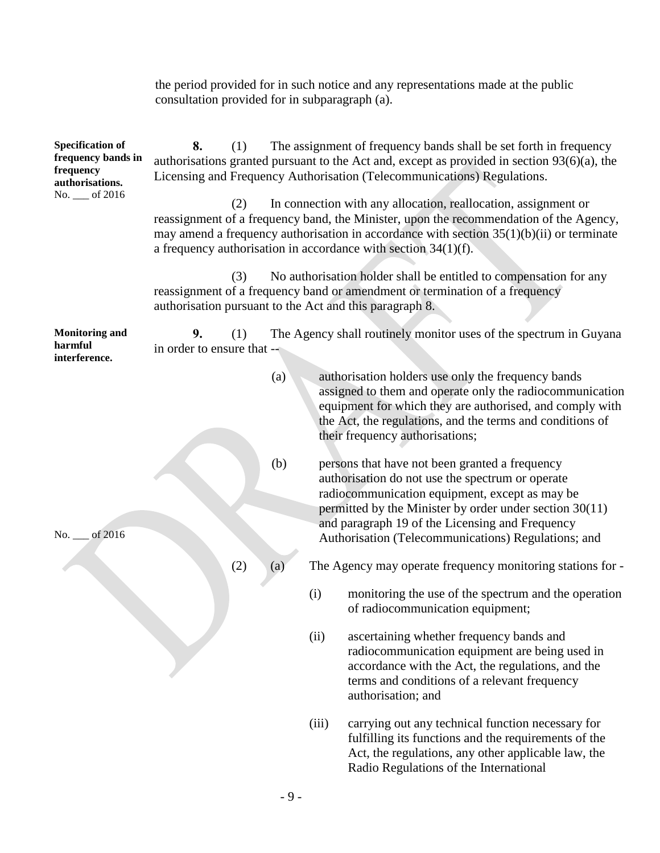|                                                                                                 | consultation provided for in subparagraph (a).                                                                                                                                                                                                              |     |     |       | the period provided for in such notice and any representations made at the public                                                                                                                                                                                                                                           |  |
|-------------------------------------------------------------------------------------------------|-------------------------------------------------------------------------------------------------------------------------------------------------------------------------------------------------------------------------------------------------------------|-----|-----|-------|-----------------------------------------------------------------------------------------------------------------------------------------------------------------------------------------------------------------------------------------------------------------------------------------------------------------------------|--|
| <b>Specification of</b><br>frequency bands in<br>frequency<br>authorisations.<br>No. __ of 2016 | 8.<br>The assignment of frequency bands shall be set forth in frequency<br>(1)<br>authorisations granted pursuant to the Act and, except as provided in section $93(6)(a)$ , the<br>Licensing and Frequency Authorisation (Telecommunications) Regulations. |     |     |       |                                                                                                                                                                                                                                                                                                                             |  |
|                                                                                                 |                                                                                                                                                                                                                                                             | (2) |     |       | In connection with any allocation, reallocation, assignment or<br>reassignment of a frequency band, the Minister, upon the recommendation of the Agency,<br>may amend a frequency authorisation in accordance with section $35(1)(b)(ii)$ or terminate<br>a frequency authorisation in accordance with section $34(1)(f)$ . |  |
|                                                                                                 |                                                                                                                                                                                                                                                             | (3) |     |       | No authorisation holder shall be entitled to compensation for any<br>reassignment of a frequency band or amendment or termination of a frequency<br>authorisation pursuant to the Act and this paragraph 8.                                                                                                                 |  |
| <b>Monitoring and</b><br>harmful<br>interference.                                               | 9.<br>in order to ensure that --                                                                                                                                                                                                                            | (1) |     |       | The Agency shall routinely monitor uses of the spectrum in Guyana                                                                                                                                                                                                                                                           |  |
|                                                                                                 |                                                                                                                                                                                                                                                             |     | (a) |       | authorisation holders use only the frequency bands<br>assigned to them and operate only the radiocommunication<br>equipment for which they are authorised, and comply with<br>the Act, the regulations, and the terms and conditions of<br>their frequency authorisations;                                                  |  |
| No.<br>of 2016                                                                                  |                                                                                                                                                                                                                                                             |     | (b) |       | persons that have not been granted a frequency<br>authorisation do not use the spectrum or operate<br>radiocommunication equipment, except as may be<br>permitted by the Minister by order under section $30(11)$<br>and paragraph 19 of the Licensing and Frequency<br>Authorisation (Telecommunications) Regulations; and |  |
|                                                                                                 |                                                                                                                                                                                                                                                             | (2) | (a) |       | The Agency may operate frequency monitoring stations for -                                                                                                                                                                                                                                                                  |  |
|                                                                                                 |                                                                                                                                                                                                                                                             |     |     | (i)   | monitoring the use of the spectrum and the operation<br>of radiocommunication equipment;                                                                                                                                                                                                                                    |  |
|                                                                                                 |                                                                                                                                                                                                                                                             |     |     | (ii)  | ascertaining whether frequency bands and<br>radiocommunication equipment are being used in<br>accordance with the Act, the regulations, and the<br>terms and conditions of a relevant frequency<br>authorisation; and                                                                                                       |  |
|                                                                                                 |                                                                                                                                                                                                                                                             |     |     | (iii) | carrying out any technical function necessary for                                                                                                                                                                                                                                                                           |  |

fulfilling its functions and the requirements of the Act, the regulations, any other applicable law, the Radio Regulations of the International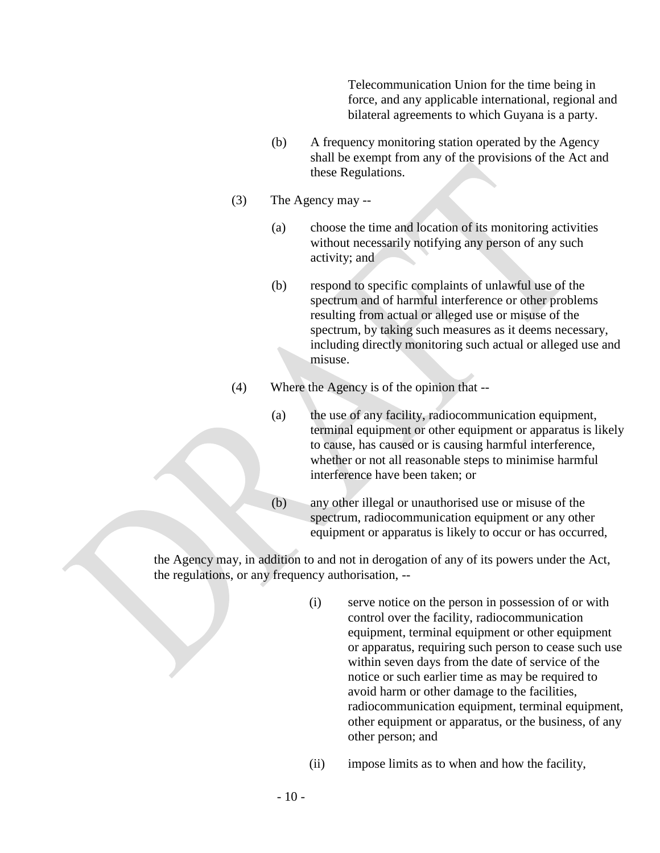Telecommunication Union for the time being in force, and any applicable international, regional and bilateral agreements to which Guyana is a party.

- (b) A frequency monitoring station operated by the Agency shall be exempt from any of the provisions of the Act and these Regulations.
- (3) The Agency may --
	- (a) choose the time and location of its monitoring activities without necessarily notifying any person of any such activity; and
	- (b) respond to specific complaints of unlawful use of the spectrum and of harmful interference or other problems resulting from actual or alleged use or misuse of the spectrum, by taking such measures as it deems necessary, including directly monitoring such actual or alleged use and misuse.
- (4) Where the Agency is of the opinion that --
	- (a) the use of any facility, radiocommunication equipment, terminal equipment or other equipment or apparatus is likely to cause, has caused or is causing harmful interference, whether or not all reasonable steps to minimise harmful interference have been taken; or
	- (b) any other illegal or unauthorised use or misuse of the spectrum, radiocommunication equipment or any other equipment or apparatus is likely to occur or has occurred,

the Agency may, in addition to and not in derogation of any of its powers under the Act, the regulations, or any frequency authorisation, --

- (i) serve notice on the person in possession of or with control over the facility, radiocommunication equipment, terminal equipment or other equipment or apparatus, requiring such person to cease such use within seven days from the date of service of the notice or such earlier time as may be required to avoid harm or other damage to the facilities, radiocommunication equipment, terminal equipment, other equipment or apparatus, or the business, of any other person; and
- (ii) impose limits as to when and how the facility,